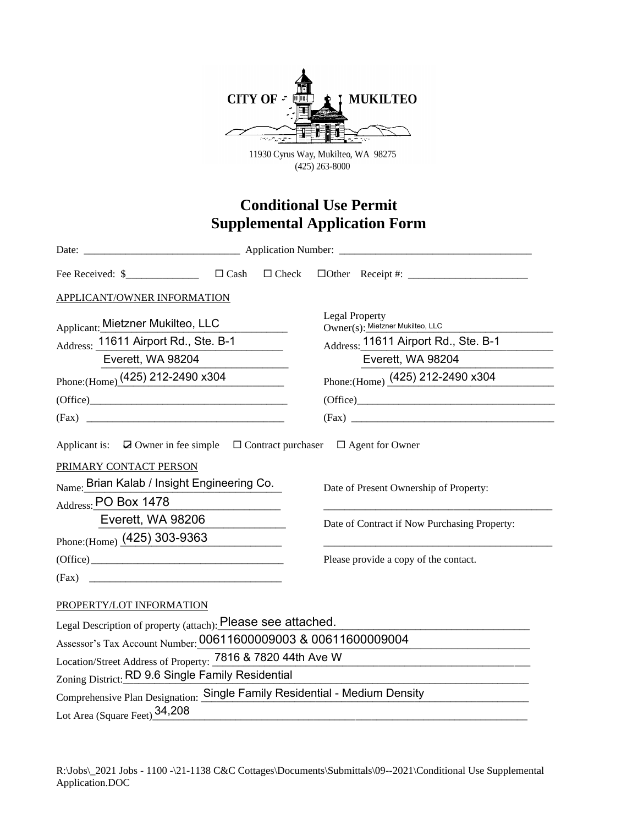

11930 Cyrus Way, Mukilteo, WA 98275 (425) 263-8000

## **Conditional Use Permit Supplemental Application Form**

| APPLICANT/OWNER INFORMATION                                                                                                   |  |  |                                                                                        |                                                           |
|-------------------------------------------------------------------------------------------------------------------------------|--|--|----------------------------------------------------------------------------------------|-----------------------------------------------------------|
| <b>Applicant: Mietzner Mukilteo, LLC</b>                                                                                      |  |  |                                                                                        | <b>Legal Property</b><br>Owner(s): Mietzner Mukilteo, LLC |
| Address: 11611 Airport Rd., Ste. B-1                                                                                          |  |  | Address: 11611 Airport Rd., Ste. B-1                                                   |                                                           |
| Everett, WA 98204                                                                                                             |  |  | Everett, WA 98204                                                                      |                                                           |
| Phone: (Home) $(425)$ 212-2490 x304                                                                                           |  |  |                                                                                        | Phone: (Home) (425) 212-2490 x304                         |
|                                                                                                                               |  |  |                                                                                        |                                                           |
|                                                                                                                               |  |  |                                                                                        | (Fax)                                                     |
| PRIMARY CONTACT PERSON<br><sub>Name:</sub> Brian Kalab / Insight Engineering Co.<br>Address: PO Box 1478<br>Everett, WA 98206 |  |  | Date of Present Ownership of Property:<br>Date of Contract if Now Purchasing Property: |                                                           |
| Phone: (Home) $(425)$ 303-9363                                                                                                |  |  |                                                                                        |                                                           |
|                                                                                                                               |  |  |                                                                                        | Please provide a copy of the contact.                     |
| PROPERTY/LOT INFORMATION                                                                                                      |  |  |                                                                                        |                                                           |
| Legal Description of property (attach): Please see attached.                                                                  |  |  |                                                                                        |                                                           |
| Assessor's Tax Account Number: 00611600009003 & 00611600009004                                                                |  |  |                                                                                        |                                                           |
| Location/Street Address of Property: 7816 & 7820 44th Ave W                                                                   |  |  |                                                                                        |                                                           |
| Zoning District: RD 9.6 Single Family Residential                                                                             |  |  |                                                                                        |                                                           |
| Comprehensive Plan Designation: Single Family Residential - Medium Density                                                    |  |  |                                                                                        |                                                           |
| Lot Area (Square Feet) 34,208                                                                                                 |  |  |                                                                                        |                                                           |